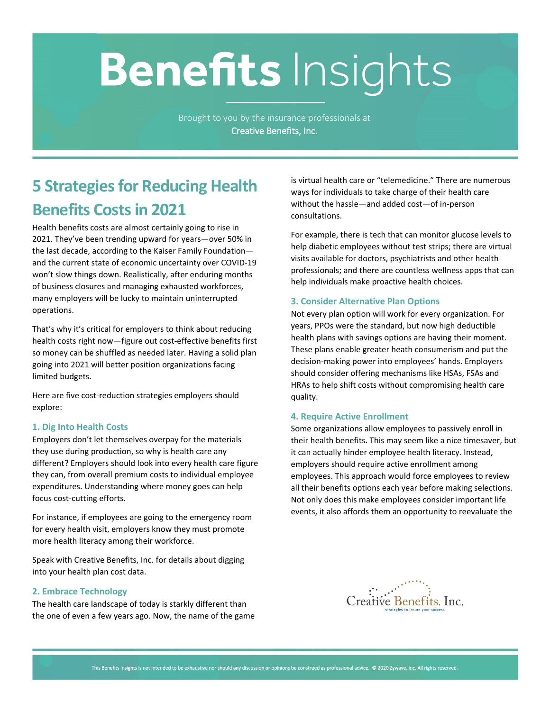# **Benefits Insights**

Brought to you by the insurance professionals at **Creative Benefits, Inc.**

# **5 Strategies for Reducing Health Benefits Costs in 2021**

Health benefits costs are almost certainly going to rise in 2021. They've been trending upward for years—over 50% in the last decade, according to the Kaiser Family Foundation and the current state of economic uncertainty over COVID-19 won't slow things down. Realistically, after enduring months of business closures and managing exhausted workforces, many employers will be lucky to maintain uninterrupted operations.

That's why it's critical for employers to think about reducing health costs right now—figure out cost-effective benefits first so money can be shuffled as needed later. Having a solid plan going into 2021 will better position organizations facing limited budgets.

Here are five cost-reduction strategies employers should explore:

## **1. Dig Into Health Costs**

Employers don't let themselves overpay for the materials they use during production, so why is health care any different? Employers should look into every health care figure they can, from overall premium costs to individual employee expenditures. Understanding where money goes can help focus cost-cutting efforts.

For instance, if employees are going to the emergency room for every health visit, employers know they must promote more health literacy among their workforce.

Speak with Creative Benefits, Inc. for details about digging into your health plan cost data.

#### **2. Embrace Technology**

The health care landscape of today is starkly different than the one of even a few years ago. Now, the name of the game is virtual health care or "telemedicine." There are numerous ways for individuals to take charge of their health care without the hassle—and added cost—of in-person consultations.

For example, there is tech that can monitor glucose levels to help diabetic employees without test strips; there are virtual visits available for doctors, psychiatrists and other health professionals; and there are countless wellness apps that can help individuals make proactive health choices.

#### **3. Consider Alternative Plan Options**

Not every plan option will work for every organization. For years, PPOs were the standard, but now high deductible health plans with savings options are having their moment. These plans enable greater heath consumerism and put the decision-making power into employees' hands. Employers should consider offering mechanisms like HSAs, FSAs and HRAs to help shift costs without compromising health care quality.

#### **4. Require Active Enrollment**

Some organizations allow employees to passively enroll in their health benefits. This may seem like a nice timesaver, but it can actually hinder employee health literacy. Instead, employers should require active enrollment among employees. This approach would force employees to review all their benefits options each year before making selections. Not only does this make employees consider important life events, it also affords them an opportunity to reevaluate the